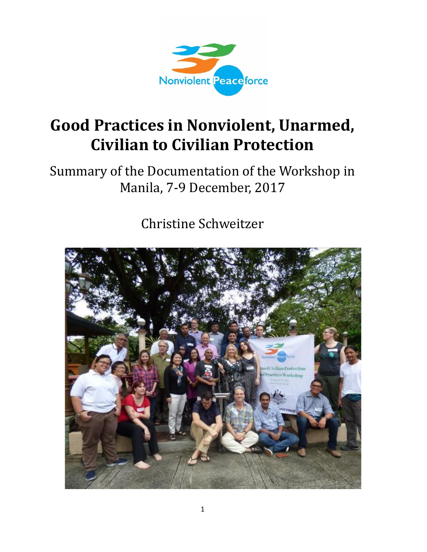

## **Good Practices in Nonviolent, Unarmed, Civilian to Civilian Protection**

## Summary of the Documentation of the Workshop in Manila, 7-9 December, 2017

Christine Schweitzer

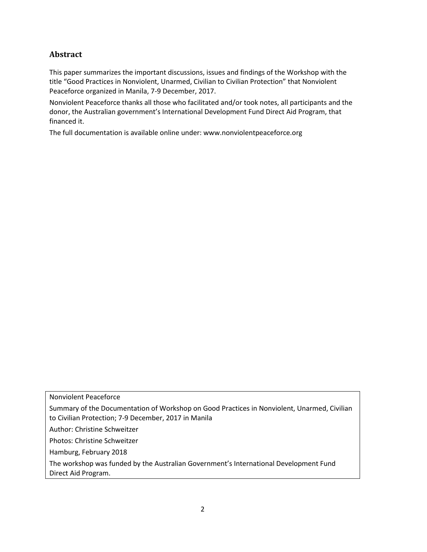## **Abstract**

This paper summarizes the important discussions, issues and findings of the Workshop with the title "Good Practices in Nonviolent, Unarmed, Civilian to Civilian Protection" that Nonviolent Peaceforce organized in Manila, 7-9 December, 2017.

Nonviolent Peaceforce thanks all those who facilitated and/or took notes, all participants and the donor, the Australian government's International Development Fund Direct Aid Program, that financed it.

The full documentation is available online under: www.nonviolentpeaceforce.org

Nonviolent Peaceforce Summary of the Documentation of Workshop on Good Practices in Nonviolent, Unarmed, Civilian to Civilian Protection; 7-9 December, 2017 in Manila Author: Christine Schweitzer Photos: Christine Schweitzer Hamburg, February 2018 The workshop was funded by the Australian Government's International Development Fund Direct Aid Program.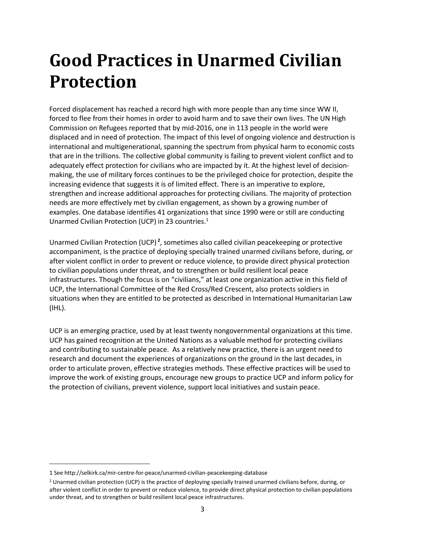## **Good Practices in Unarmed Civilian Protection**

Forced displacement has reached a record high with more people than any time since WW II, forced to flee from their homes in order to avoid harm and to save their own lives. The UN High Commission on Refugees reported that by mid-2016, one in 113 people in the world were displaced and in need of protection. The impact of this level of ongoing violence and destruction is international and multigenerational, spanning the spectrum from physical harm to economic costs that are in the trillions. The collective global community is failing to prevent violent conflict and to adequately effect protection for civilians who are impacted by it. At the highest level of decisionmaking, the use of military forces continues to be the privileged choice for protection, despite the increasing evidence that suggests it is of limited effect. There is an imperative to explore, strengthen and increase additional approaches for protecting civilians. The majority of protection needs are more effectively met by civilian engagement, as shown by a growing number of examples. One database identifies 41 organizations that since 1990 were or still are conducting Unarmed Civilian Protection (UCP) in 23 countries.<sup>1</sup>

Unarmed Civilian Protection (UCP)<sup>2</sup>, sometimes also called civilian peacekeeping or protective accompaniment, is the practice of deploying specially trained unarmed civilians before, during, or after violent conflict in order to prevent or reduce violence, to provide direct physical protection to civilian populations under threat, and to strengthen or build resilient local peace infrastructures. Though the focus is on "civilians," at least one organization active in this field of UCP, the International Committee of the Red Cross/Red Crescent, also protects soldiers in situations when they are entitled to be protected as described in International Humanitarian Law (IHL).

UCP is an emerging practice, used by at least twenty nongovernmental organizations at this time. UCP has gained recognition at the United Nations as a valuable method for protecting civilians and contributing to sustainable peace. As a relatively new practice, there is an urgent need to research and document the experiences of organizations on the ground in the last decades, in order to articulate proven, effective strategies methods. These effective practices will be used to improve the work of existing groups, encourage new groups to practice UCP and inform policy for the protection of civilians, prevent violence, support local initiatives and sustain peace.

 $\overline{a}$ 

<sup>1</sup> See http://selkirk.ca/mir-centre-for-peace/unarmed-civilian-peacekeeping-database

<sup>2</sup> Unarmed civilian protection (UCP) is the practice of deploying specially trained unarmed civilians before, during, or after violent conflict in order to prevent or reduce violence, to provide direct physical protection to civilian populations under threat, and to strengthen or build resilient local peace infrastructures.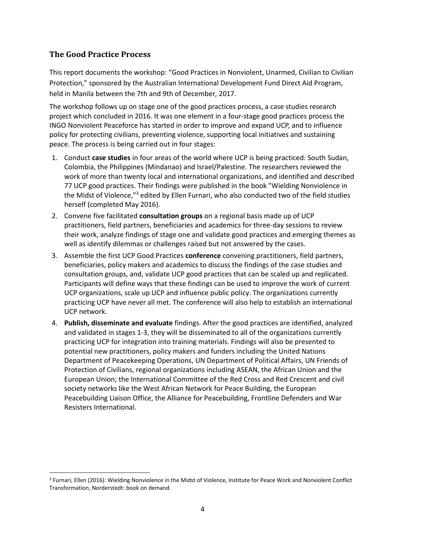## **The Good Practice Process**

 $\ddot{\phantom{a}}$ 

This report documents the workshop: "Good Practices in Nonviolent, Unarmed, Civilian to Civilian Protection," sponsored by the Australian International Development Fund Direct Aid Program, held in Manila between the 7th and 9th of December, 2017.

The workshop follows up on stage one of the good practices process, a case studies research project which concluded in 2016. It was one element in a four-stage good practices process the INGO Nonviolent Peaceforce has started in order to improve and expand UCP, and to influence policy for protecting civilians, preventing violence, supporting local initiatives and sustaining peace. The process is being carried out in four stages:

- 1. Conduct **case studies** in four areas of the world where UCP is being practiced: South Sudan, Colombia, the Philippines (Mindanao) and Israel/Palestine. The researchers reviewed the work of more than twenty local and international organizations, and identified and described 77 UCP good practices. Their findings were published in the book "Wielding Nonviolence in the Midst of Violence,"<sup>3</sup> edited by Ellen Furnari, who also conducted two of the field studies herself (completed May 2016).
- 2. Convene five facilitated **consultation groups** on a regional basis made up of UCP practitioners, field partners, beneficiaries and academics for three-day sessions to review their work, analyze findings of stage one and validate good practices and emerging themes as well as identify dilemmas or challenges raised but not answered by the cases.
- 3. Assemble the first UCP Good Practices **conference** convening practitioners, field partners, beneficiaries, policy makers and academics to discuss the findings of the case studies and consultation groups, and, validate UCP good practices that can be scaled up and replicated. Participants will define ways that these findings can be used to improve the work of current UCP organizations, scale up UCP and influence public policy. The organizations currently practicing UCP have never all met. The conference will also help to establish an international UCP network.
- 4. **Publish, disseminate and evaluate** findings. After the good practices are identified, analyzed and validated in stages 1-3, they will be disseminated to all of the organizations currently practicing UCP for integration into training materials. Findings will also be presented to potential new practitioners, policy makers and funders including the United Nations Department of Peacekeeping Operations, UN Department of Political Affairs, UN Friends of Protection of Civilians, regional organizations including ASEAN, the African Union and the European Union; the International Committee of the Red Cross and Red Crescent and civil society networks like the West African Network for Peace Building, the European Peacebuilding Liaison Office, the Alliance for Peacebuilding, Frontline Defenders and War Resisters International.

<sup>3</sup> Furnari, Ellen (2016): Wielding Nonviolence in the Midst of Violence, Institute for Peace Work and Nonviolent Conflict Transformation, Norderstedt: book on demand.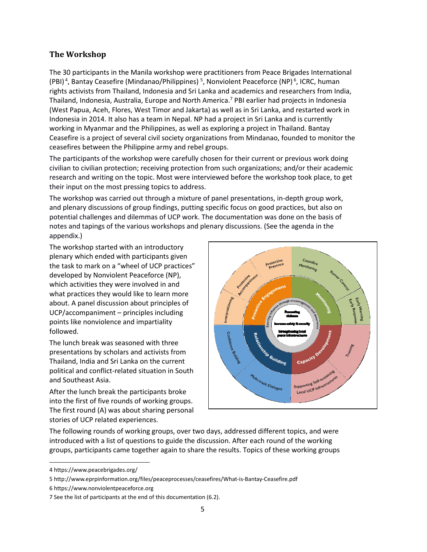## **The Workshop**

The 30 participants in the Manila workshop were practitioners from Peace Brigades International (PBI)<sup>4</sup>, Bantay Ceasefire (Mindanao/Philippines)<sup>5</sup>, Nonviolent Peaceforce (NP)<sup>6</sup>, ICRC, human rights activists from Thailand, Indonesia and Sri Lanka and academics and researchers from India, Thailand, Indonesia, Australia, Europe and North America.<sup>7</sup> PBI earlier had projects in Indonesia (West Papua, Aceh, Flores, West Timor and Jakarta) as well as in Sri Lanka, and restarted work in Indonesia in 2014. It also has a team in Nepal. NP had a project in Sri Lanka and is currently working in Myanmar and the Philippines, as well as exploring a project in Thailand. Bantay Ceasefire is a project of several civil society organizations from Mindanao, founded to monitor the ceasefires between the Philippine army and rebel groups.

The participants of the workshop were carefully chosen for their current or previous work doing civilian to civilian protection; receiving protection from such organizations; and/or their academic research and writing on the topic. Most were interviewed before the workshop took place, to get their input on the most pressing topics to address.

The workshop was carried out through a mixture of panel presentations, in-depth group work, and plenary discussions of group findings, putting specific focus on good practices, but also on potential challenges and dilemmas of UCP work. The documentation was done on the basis of notes and tapings of the various workshops and plenary discussions. (See the agenda in the appendix.)

The workshop started with an introductory plenary which ended with participants given the task to mark on a "wheel of UCP practices" developed by Nonviolent Peaceforce (NP), which activities they were involved in and what practices they would like to learn more about. A panel discussion about principles of UCP/accompaniment – principles including points like nonviolence and impartiality followed.

The lunch break was seasoned with three presentations by scholars and activists from Thailand, India and Sri Lanka on the current political and conflict-related situation in South and Southeast Asia.

After the lunch break the participants broke into the first of five rounds of working groups. The first round (A) was about sharing personal stories of UCP related experiences.



The following rounds of working groups, over two days, addressed different topics, and were introduced with a list of questions to guide the discussion. After each round of the working groups, participants came together again to share the results. Topics of these working groups

 $\overline{a}$ 

<sup>4</sup> https://www.peacebrigades.org/

<sup>5</sup> http://www.eprpinformation.org/files/peaceprocesses/ceasefires/What-is-Bantay-Ceasefire.pdf

<sup>6</sup> https://www.nonviolentpeaceforce.org

<sup>7</sup> See the list of participants at the end of this documentation (6.2).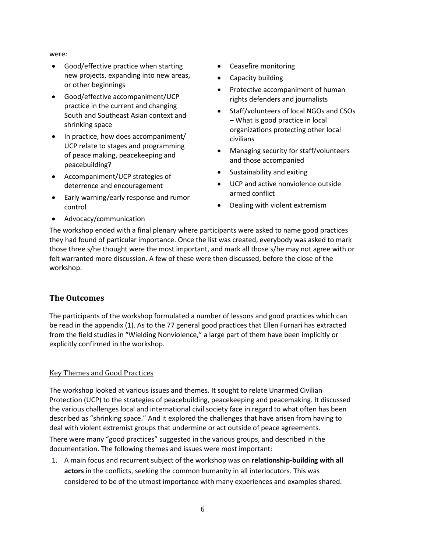were:

- Good/effective practice when starting new projects, expanding into new areas, or other beginnings
- Good/effective accompaniment/UCP practice in the current and changing South and Southeast Asian context and shrinking space
- In practice, how does accompaniment/ UCP relate to stages and programming of peace making, peacekeeping and peacebuilding?
- Accompaniment/UCP strategies of deterrence and encouragement
- Early warning/early response and rumor control
- Ceasefire monitoring
- Capacity building
- Protective accompaniment of human rights defenders and journalists
- Staff/volunteers of local NGOs and CSOs – What is good practice in local organizations protecting other local civilians
- Managing security for staff/volunteers and those accompanied
- Sustainability and exiting
- UCP and active nonviolence outside armed conflict
- Dealing with violent extremism

Advocacy/communication

The workshop ended with a final plenary where participants were asked to name good practices they had found of particular importance. Once the list was created, everybody was asked to mark those three s/he thought were the most important, and mark all those s/he may not agree with or felt warranted more discussion. A few of these were then discussed, before the close of the workshop.

### **The Outcomes**

The participants of the workshop formulated a number of lessons and good practices which can be read in the appendix (1). As to the 77 general good practices that Ellen Furnari has extracted from the field studies in "Wielding Nonviolence," a large part of them have been implicitly or explicitly confirmed in the workshop.

#### Key Themes and Good Practices

The workshop looked at various issues and themes. It sought to relate Unarmed Civilian Protection (UCP) to the strategies of peacebuilding, peacekeeping and peacemaking. It discussed the various challenges local and international civil society face in regard to what often has been described as "shrinking space." And it explored the challenges that have arisen from having to deal with violent extremist groups that undermine or act outside of peace agreements.

There were many "good practices" suggested in the various groups, and described in the documentation. The following themes and issues were most important:

1. A main focus and recurrent subject of the workshop was on **relationship-building with all actors** in the conflicts, seeking the common humanity in all interlocutors. This was considered to be of the utmost importance with many experiences and examples shared.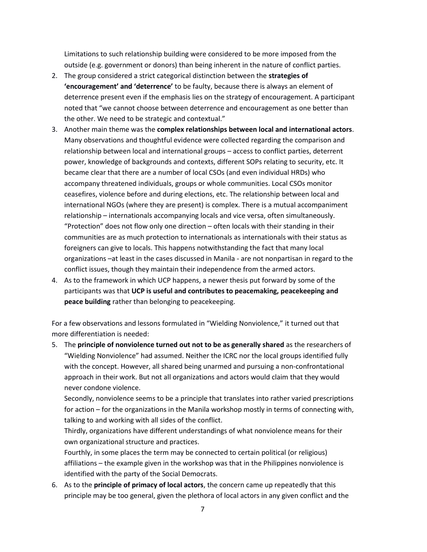Limitations to such relationship building were considered to be more imposed from the outside (e.g. government or donors) than being inherent in the nature of conflict parties.

- 2. The group considered a strict categorical distinction between the **strategies of 'encouragement' and 'deterrence'** to be faulty, because there is always an element of deterrence present even if the emphasis lies on the strategy of encouragement. A participant noted that "we cannot choose between deterrence and encouragement as one better than the other. We need to be strategic and contextual."
- 3. Another main theme was the **complex relationships between local and international actors**. Many observations and thoughtful evidence were collected regarding the comparison and relationship between local and international groups – access to conflict parties, deterrent power, knowledge of backgrounds and contexts, different SOPs relating to security, etc. It became clear that there are a number of local CSOs (and even individual HRDs) who accompany threatened individuals, groups or whole communities. Local CSOs monitor ceasefires, violence before and during elections, etc. The relationship between local and international NGOs (where they are present) is complex. There is a mutual accompaniment relationship – internationals accompanying locals and vice versa, often simultaneously. "Protection" does not flow only one direction – often locals with their standing in their communities are as much protection to internationals as internationals with their status as foreigners can give to locals. This happens notwithstanding the fact that many local organizations –at least in the cases discussed in Manila - are not nonpartisan in regard to the conflict issues, though they maintain their independence from the armed actors.
- 4. As to the framework in which UCP happens, a newer thesis put forward by some of the participants was that **UCP is useful and contributes to peacemaking, peacekeeping and peace building** rather than belonging to peacekeeping.

For a few observations and lessons formulated in "Wielding Nonviolence," it turned out that more differentiation is needed:

5. The **principle of nonviolence turned out not to be as generally shared** as the researchers of "Wielding Nonviolence" had assumed. Neither the ICRC nor the local groups identified fully with the concept. However, all shared being unarmed and pursuing a non-confrontational approach in their work. But not all organizations and actors would claim that they would never condone violence.

Secondly, nonviolence seems to be a principle that translates into rather varied prescriptions for action – for the organizations in the Manila workshop mostly in terms of connecting with, talking to and working with all sides of the conflict.

Thirdly, organizations have different understandings of what nonviolence means for their own organizational structure and practices.

Fourthly, in some places the term may be connected to certain political (or religious) affiliations – the example given in the workshop was that in the Philippines nonviolence is identified with the party of the Social Democrats.

6. As to the **principle of primacy of local actors**, the concern came up repeatedly that this principle may be too general, given the plethora of local actors in any given conflict and the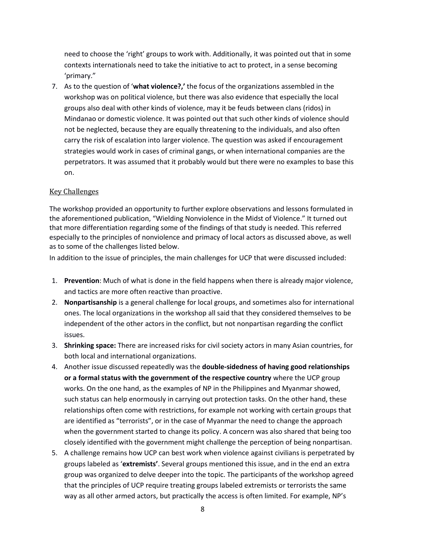need to choose the 'right' groups to work with. Additionally, it was pointed out that in some contexts internationals need to take the initiative to act to protect, in a sense becoming 'primary."

7. As to the question of '**what violence?,'** the focus of the organizations assembled in the workshop was on political violence, but there was also evidence that especially the local groups also deal with other kinds of violence, may it be feuds between clans (ridos) in Mindanao or domestic violence. It was pointed out that such other kinds of violence should not be neglected, because they are equally threatening to the individuals, and also often carry the risk of escalation into larger violence. The question was asked if encouragement strategies would work in cases of criminal gangs, or when international companies are the perpetrators. It was assumed that it probably would but there were no examples to base this on.

### Key Challenges

The workshop provided an opportunity to further explore observations and lessons formulated in the aforementioned publication, "Wielding Nonviolence in the Midst of Violence." It turned out that more differentiation regarding some of the findings of that study is needed. This referred especially to the principles of nonviolence and primacy of local actors as discussed above, as well as to some of the challenges listed below.

In addition to the issue of principles, the main challenges for UCP that were discussed included:

- 1. **Prevention**: Much of what is done in the field happens when there is already major violence, and tactics are more often reactive than proactive.
- 2. **Nonpartisanship** is a general challenge for local groups, and sometimes also for international ones. The local organizations in the workshop all said that they considered themselves to be independent of the other actors in the conflict, but not nonpartisan regarding the conflict issues.
- 3. **Shrinking space:** There are increased risks for civil society actors in many Asian countries, for both local and international organizations.
- 4. Another issue discussed repeatedly was the **double-sidedness of having good relationships or a formal status with the government of the respective country** where the UCP group works. On the one hand, as the examples of NP in the Philippines and Myanmar showed, such status can help enormously in carrying out protection tasks. On the other hand, these relationships often come with restrictions, for example not working with certain groups that are identified as "terrorists", or in the case of Myanmar the need to change the approach when the government started to change its policy. A concern was also shared that being too closely identified with the government might challenge the perception of being nonpartisan.
- 5. A challenge remains how UCP can best work when violence against civilians is perpetrated by groups labeled as '**extremists'**. Several groups mentioned this issue, and in the end an extra group was organized to delve deeper into the topic. The participants of the workshop agreed that the principles of UCP require treating groups labeled extremists or terrorists the same way as all other armed actors, but practically the access is often limited. For example, NP's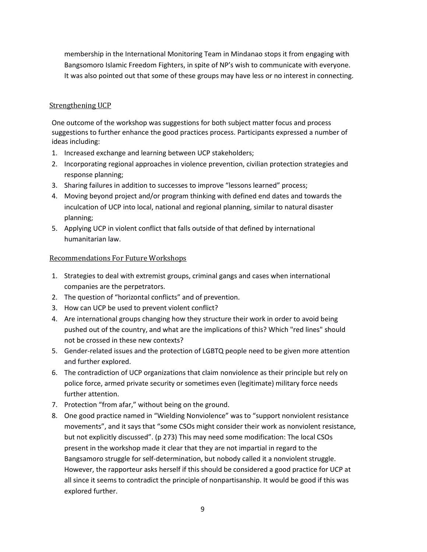membership in the International Monitoring Team in Mindanao stops it from engaging with Bangsomoro Islamic Freedom Fighters, in spite of NP's wish to communicate with everyone. It was also pointed out that some of these groups may have less or no interest in connecting.

### Strengthening UCP

One outcome of the workshop was suggestions for both subject matter focus and process suggestions to further enhance the good practices process. Participants expressed a number of ideas including:

- 1. Increased exchange and learning between UCP stakeholders;
- 2. Incorporating regional approaches in violence prevention, civilian protection strategies and response planning;
- 3. Sharing failures in addition to successes to improve "lessons learned" process;
- 4. Moving beyond project and/or program thinking with defined end dates and towards the inculcation of UCP into local, national and regional planning, similar to natural disaster planning;
- 5. Applying UCP in violent conflict that falls outside of that defined by international humanitarian law.

## Recommendations For Future Workshops

- 1. Strategies to deal with extremist groups, criminal gangs and cases when international companies are the perpetrators.
- 2. The question of "horizontal conflicts" and of prevention.
- 3. How can UCP be used to prevent violent conflict?
- 4. Are international groups changing how they structure their work in order to avoid being pushed out of the country, and what are the implications of this? Which "red lines" should not be crossed in these new contexts?
- 5. Gender-related issues and the protection of LGBTQ people need to be given more attention and further explored.
- 6. The contradiction of UCP organizations that claim nonviolence as their principle but rely on police force, armed private security or sometimes even (legitimate) military force needs further attention.
- 7. Protection "from afar," without being on the ground.
- 8. One good practice named in "Wielding Nonviolence" was to "support nonviolent resistance movements", and it says that "some CSOs might consider their work as nonviolent resistance, but not explicitly discussed". (p 273) This may need some modification: The local CSOs present in the workshop made it clear that they are not impartial in regard to the Bangsamoro struggle for self-determination, but nobody called it a nonviolent struggle. However, the rapporteur asks herself if this should be considered a good practice for UCP at all since it seems to contradict the principle of nonpartisanship. It would be good if this was explored further.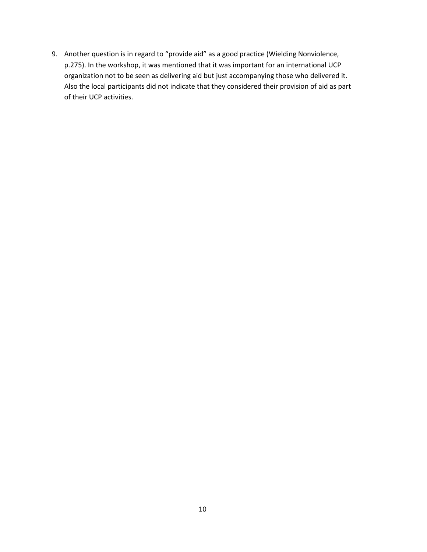9. Another question is in regard to "provide aid" as a good practice (Wielding Nonviolence, p.275). In the workshop, it was mentioned that it was important for an international UCP organization not to be seen as delivering aid but just accompanying those who delivered it. Also the local participants did not indicate that they considered their provision of aid as part of their UCP activities.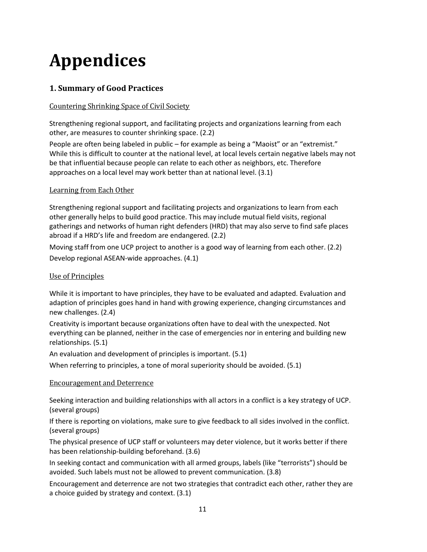# **Appendices**

## **1. Summary of Good Practices**

## Countering Shrinking Space of Civil Society

Strengthening regional support, and facilitating projects and organizations learning from each other, are measures to counter shrinking space. (2.2)

People are often being labeled in public – for example as being a "Maoist" or an "extremist." While this is difficult to counter at the national level, at local levels certain negative labels may not be that influential because people can relate to each other as neighbors, etc. Therefore approaches on a local level may work better than at national level. (3.1)

### Learning from Each Other

Strengthening regional support and facilitating projects and organizations to learn from each other generally helps to build good practice. This may include mutual field visits, regional gatherings and networks of human right defenders (HRD) that may also serve to find safe places abroad if a HRD's life and freedom are endangered. (2.2)

Moving staff from one UCP project to another is a good way of learning from each other. (2.2) Develop regional ASEAN-wide approaches. (4.1)

## Use of Principles

While it is important to have principles, they have to be evaluated and adapted. Evaluation and adaption of principles goes hand in hand with growing experience, changing circumstances and new challenges. (2.4)

Creativity is important because organizations often have to deal with the unexpected. Not everything can be planned, neither in the case of emergencies nor in entering and building new relationships. (5.1)

An evaluation and development of principles is important. (5.1)

When referring to principles, a tone of moral superiority should be avoided. (5.1)

## Encouragement and Deterrence

Seeking interaction and building relationships with all actors in a conflict is a key strategy of UCP. (several groups)

If there is reporting on violations, make sure to give feedback to all sides involved in the conflict. (several groups)

The physical presence of UCP staff or volunteers may deter violence, but it works better if there has been relationship-building beforehand. (3.6)

In seeking contact and communication with all armed groups, labels (like "terrorists") should be avoided. Such labels must not be allowed to prevent communication. (3.8)

Encouragement and deterrence are not two strategies that contradict each other, rather they are a choice guided by strategy and context. (3.1)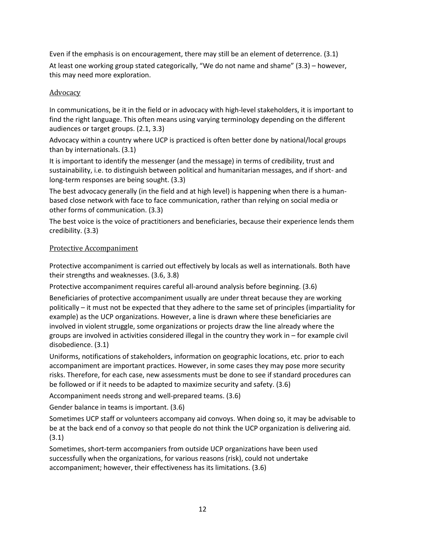Even if the emphasis is on encouragement, there may still be an element of deterrence. (3.1) At least one working group stated categorically, "We do not name and shame" (3.3) – however, this may need more exploration.

## Advocacy

In communications, be it in the field or in advocacy with high-level stakeholders, it is important to find the right language. This often means using varying terminology depending on the different audiences or target groups. (2.1, 3.3)

Advocacy within a country where UCP is practiced is often better done by national/local groups than by internationals. (3.1)

It is important to identify the messenger (and the message) in terms of credibility, trust and sustainability, i.e. to distinguish between political and humanitarian messages, and if short- and long-term responses are being sought. (3.3)

The best advocacy generally (in the field and at high level) is happening when there is a humanbased close network with face to face communication, rather than relying on social media or other forms of communication. (3.3)

The best voice is the voice of practitioners and beneficiaries, because their experience lends them credibility. (3.3)

## Protective Accompaniment

Protective accompaniment is carried out effectively by locals as well as internationals. Both have their strengths and weaknesses. (3.6, 3.8)

Protective accompaniment requires careful all-around analysis before beginning. (3.6)

Beneficiaries of protective accompaniment usually are under threat because they are working politically – it must not be expected that they adhere to the same set of principles (impartiality for example) as the UCP organizations. However, a line is drawn where these beneficiaries are involved in violent struggle, some organizations or projects draw the line already where the groups are involved in activities considered illegal in the country they work in – for example civil disobedience. (3.1)

Uniforms, notifications of stakeholders, information on geographic locations, etc. prior to each accompaniment are important practices. However, in some cases they may pose more security risks. Therefore, for each case, new assessments must be done to see if standard procedures can be followed or if it needs to be adapted to maximize security and safety. (3.6)

Accompaniment needs strong and well-prepared teams. (3.6)

Gender balance in teams is important. (3.6)

Sometimes UCP staff or volunteers accompany aid convoys. When doing so, it may be advisable to be at the back end of a convoy so that people do not think the UCP organization is delivering aid. (3.1)

Sometimes, short-term accompaniers from outside UCP organizations have been used successfully when the organizations, for various reasons (risk), could not undertake accompaniment; however, their effectiveness has its limitations. (3.6)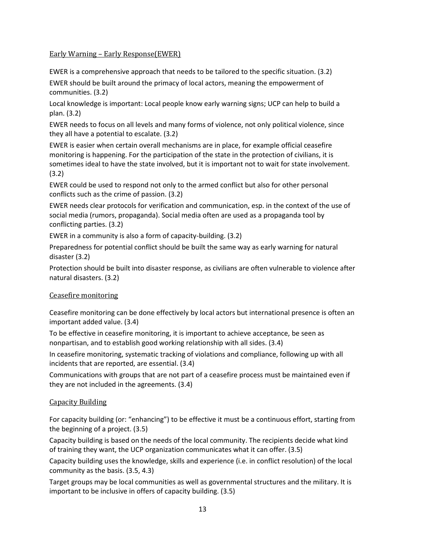### Early Warning – Early Response(EWER)

EWER is a comprehensive approach that needs to be tailored to the specific situation. (3.2)

EWER should be built around the primacy of local actors, meaning the empowerment of communities. (3.2)

Local knowledge is important: Local people know early warning signs; UCP can help to build a plan. (3.2)

EWER needs to focus on all levels and many forms of violence, not only political violence, since they all have a potential to escalate. (3.2)

EWER is easier when certain overall mechanisms are in place, for example official ceasefire monitoring is happening. For the participation of the state in the protection of civilians, it is sometimes ideal to have the state involved, but it is important not to wait for state involvement. (3.2)

EWER could be used to respond not only to the armed conflict but also for other personal conflicts such as the crime of passion. (3.2)

EWER needs clear protocols for verification and communication, esp. in the context of the use of social media (rumors, propaganda). Social media often are used as a propaganda tool by conflicting parties. (3.2)

EWER in a community is also a form of capacity-building. (3.2)

Preparedness for potential conflict should be built the same way as early warning for natural disaster (3.2)

Protection should be built into disaster response, as civilians are often vulnerable to violence after natural disasters. (3.2)

### Ceasefire monitoring

Ceasefire monitoring can be done effectively by local actors but international presence is often an important added value. (3.4)

To be effective in ceasefire monitoring, it is important to achieve acceptance, be seen as nonpartisan, and to establish good working relationship with all sides. (3.4)

In ceasefire monitoring, systematic tracking of violations and compliance, following up with all incidents that are reported, are essential. (3.4)

Communications with groups that are not part of a ceasefire process must be maintained even if they are not included in the agreements. (3.4)

### Capacity Building

For capacity building (or: "enhancing") to be effective it must be a continuous effort, starting from the beginning of a project. (3.5)

Capacity building is based on the needs of the local community. The recipients decide what kind of training they want, the UCP organization communicates what it can offer. (3.5)

Capacity building uses the knowledge, skills and experience (i.e. in conflict resolution) of the local community as the basis. (3.5, 4.3)

Target groups may be local communities as well as governmental structures and the military. It is important to be inclusive in offers of capacity building. (3.5)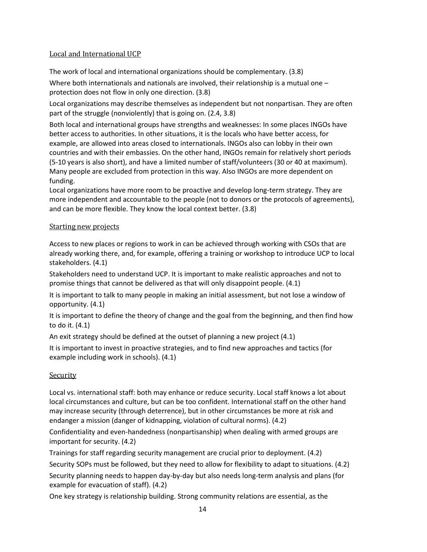## Local and International UCP

The work of local and international organizations should be complementary. (3.8)

Where both internationals and nationals are involved, their relationship is a mutual one protection does not flow in only one direction. (3.8)

Local organizations may describe themselves as independent but not nonpartisan. They are often part of the struggle (nonviolently) that is going on. (2.4, 3.8)

Both local and international groups have strengths and weaknesses: In some places INGOs have better access to authorities. In other situations, it is the locals who have better access, for example, are allowed into areas closed to internationals. INGOs also can lobby in their own countries and with their embassies. On the other hand, INGOs remain for relatively short periods (5-10 years is also short), and have a limited number of staff/volunteers (30 or 40 at maximum). Many people are excluded from protection in this way. Also INGOs are more dependent on funding.

Local organizations have more room to be proactive and develop long-term strategy. They are more independent and accountable to the people (not to donors or the protocols of agreements), and can be more flexible. They know the local context better. (3.8)

## Starting new projects

Access to new places or regions to work in can be achieved through working with CSOs that are already working there, and, for example, offering a training or workshop to introduce UCP to local stakeholders. (4.1)

Stakeholders need to understand UCP. It is important to make realistic approaches and not to promise things that cannot be delivered as that will only disappoint people. (4.1)

It is important to talk to many people in making an initial assessment, but not lose a window of opportunity. (4.1)

It is important to define the theory of change and the goal from the beginning, and then find how to do it. (4.1)

An exit strategy should be defined at the outset of planning a new project (4.1)

It is important to invest in proactive strategies, and to find new approaches and tactics (for example including work in schools). (4.1)

## Security

Local vs. international staff: both may enhance or reduce security. Local staff knows a lot about local circumstances and culture, but can be too confident. International staff on the other hand may increase security (through deterrence), but in other circumstances be more at risk and endanger a mission (danger of kidnapping, violation of cultural norms). (4.2)

Confidentiality and even-handedness (nonpartisanship) when dealing with armed groups are important for security. (4.2)

Trainings for staff regarding security management are crucial prior to deployment. (4.2)

Security SOPs must be followed, but they need to allow for flexibility to adapt to situations. (4.2)

Security planning needs to happen day-by-day but also needs long-term analysis and plans (for example for evacuation of staff). (4.2)

One key strategy is relationship building. Strong community relations are essential, as the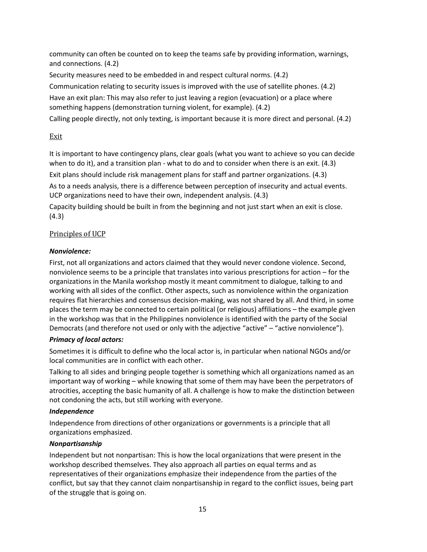community can often be counted on to keep the teams safe by providing information, warnings, and connections. (4.2)

Security measures need to be embedded in and respect cultural norms. (4.2)

Communication relating to security issues is improved with the use of satellite phones. (4.2)

Have an exit plan: This may also refer to just leaving a region (evacuation) or a place where something happens (demonstration turning violent, for example). (4.2)

Calling people directly, not only texting, is important because it is more direct and personal. (4.2)

## **Exit**

It is important to have contingency plans, clear goals (what you want to achieve so you can decide when to do it), and a transition plan - what to do and to consider when there is an exit. (4.3)

Exit plans should include risk management plans for staff and partner organizations. (4.3)

As to a needs analysis, there is a difference between perception of insecurity and actual events. UCP organizations need to have their own, independent analysis. (4.3)

Capacity building should be built in from the beginning and not just start when an exit is close. (4.3)

## Principles of UCP

## *Nonviolence:*

First, not all organizations and actors claimed that they would never condone violence. Second, nonviolence seems to be a principle that translates into various prescriptions for action – for the organizations in the Manila workshop mostly it meant commitment to dialogue, talking to and working with all sides of the conflict. Other aspects, such as nonviolence within the organization requires flat hierarchies and consensus decision-making, was not shared by all. And third, in some places the term may be connected to certain political (or religious) affiliations – the example given in the workshop was that in the Philippines nonviolence is identified with the party of the Social Democrats (and therefore not used or only with the adjective "active" – "active nonviolence").

## *Primacy of local actors:*

Sometimes it is difficult to define who the local actor is, in particular when national NGOs and/or local communities are in conflict with each other.

Talking to all sides and bringing people together is something which all organizations named as an important way of working – while knowing that some of them may have been the perpetrators of atrocities, accepting the basic humanity of all. A challenge is how to make the distinction between not condoning the acts, but still working with everyone.

## *Independence*

Independence from directions of other organizations or governments is a principle that all organizations emphasized.

## *Nonpartisanship*

Independent but not nonpartisan: This is how the local organizations that were present in the workshop described themselves. They also approach all parties on equal terms and as representatives of their organizations emphasize their independence from the parties of the conflict, but say that they cannot claim nonpartisanship in regard to the conflict issues, being part of the struggle that is going on.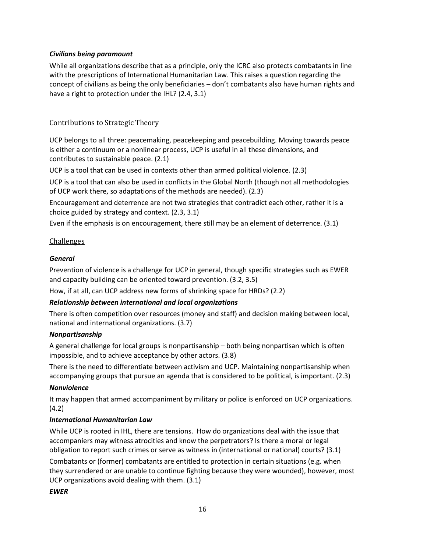#### *Civilians being paramount*

While all organizations describe that as a principle, only the ICRC also protects combatants in line with the prescriptions of International Humanitarian Law. This raises a question regarding the concept of civilians as being the only beneficiaries – don't combatants also have human rights and have a right to protection under the IHL? (2.4, 3.1)

### Contributions to Strategic Theory

UCP belongs to all three: peacemaking, peacekeeping and peacebuilding. Moving towards peace is either a continuum or a nonlinear process, UCP is useful in all these dimensions, and contributes to sustainable peace. (2.1)

UCP is a tool that can be used in contexts other than armed political violence. (2.3)

UCP is a tool that can also be used in conflicts in the Global North (though not all methodologies of UCP work there, so adaptations of the methods are needed). (2.3)

Encouragement and deterrence are not two strategies that contradict each other, rather it is a choice guided by strategy and context. (2.3, 3.1)

Even if the emphasis is on encouragement, there still may be an element of deterrence. (3.1)

#### Challenges

#### *General*

Prevention of violence is a challenge for UCP in general, though specific strategies such as EWER and capacity building can be oriented toward prevention. (3.2, 3.5)

How, if at all, can UCP address new forms of shrinking space for HRDs? (2.2)

#### *Relationship between international and local organizations*

There is often competition over resources (money and staff) and decision making between local, national and international organizations. (3.7)

#### *Nonpartisanship*

A general challenge for local groups is nonpartisanship – both being nonpartisan which is often impossible, and to achieve acceptance by other actors. (3.8)

There is the need to differentiate between activism and UCP. Maintaining nonpartisanship when accompanying groups that pursue an agenda that is considered to be political, is important. (2.3)

#### *Nonviolence*

It may happen that armed accompaniment by military or police is enforced on UCP organizations. (4.2)

#### *International Humanitarian Law*

While UCP is rooted in IHL, there are tensions. How do organizations deal with the issue that accompaniers may witness atrocities and know the perpetrators? Is there a moral or legal obligation to report such crimes or serve as witness in (international or national) courts? (3.1)

Combatants or (former) combatants are entitled to protection in certain situations (e.g. when they surrendered or are unable to continue fighting because they were wounded), however, most UCP organizations avoid dealing with them. (3.1)

#### *EWER*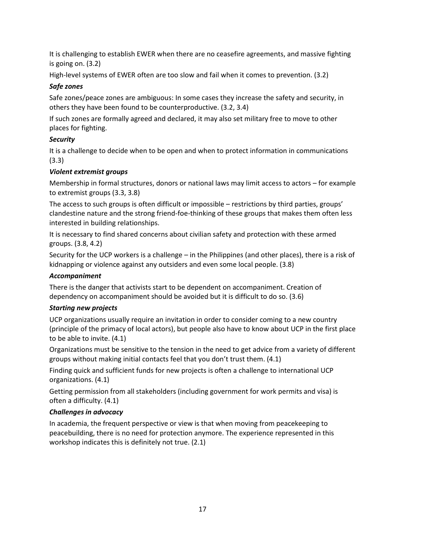It is challenging to establish EWER when there are no ceasefire agreements, and massive fighting is going on. (3.2)

High-level systems of EWER often are too slow and fail when it comes to prevention. (3.2)

## *Safe zones*

Safe zones/peace zones are ambiguous: In some cases they increase the safety and security, in others they have been found to be counterproductive. (3.2, 3.4)

If such zones are formally agreed and declared, it may also set military free to move to other places for fighting.

## *Security*

It is a challenge to decide when to be open and when to protect information in communications (3.3)

## *Violent extremist groups*

Membership in formal structures, donors or national laws may limit access to actors – for example to extremist groups (3.3, 3.8)

The access to such groups is often difficult or impossible – restrictions by third parties, groups' clandestine nature and the strong friend-foe-thinking of these groups that makes them often less interested in building relationships.

It is necessary to find shared concerns about civilian safety and protection with these armed groups. (3.8, 4.2)

Security for the UCP workers is a challenge – in the Philippines (and other places), there is a risk of kidnapping or violence against any outsiders and even some local people. (3.8)

## *Accompaniment*

There is the danger that activists start to be dependent on accompaniment. Creation of dependency on accompaniment should be avoided but it is difficult to do so. (3.6)

## *Starting new projects*

UCP organizations usually require an invitation in order to consider coming to a new country (principle of the primacy of local actors), but people also have to know about UCP in the first place to be able to invite. (4.1)

Organizations must be sensitive to the tension in the need to get advice from a variety of different groups without making initial contacts feel that you don't trust them. (4.1)

Finding quick and sufficient funds for new projects is often a challenge to international UCP organizations. (4.1)

Getting permission from all stakeholders (including government for work permits and visa) is often a difficulty. (4.1)

## *Challenges in advocacy*

In academia, the frequent perspective or view is that when moving from peacekeeping to peacebuilding, there is no need for protection anymore. The experience represented in this workshop indicates this is definitely not true. (2.1)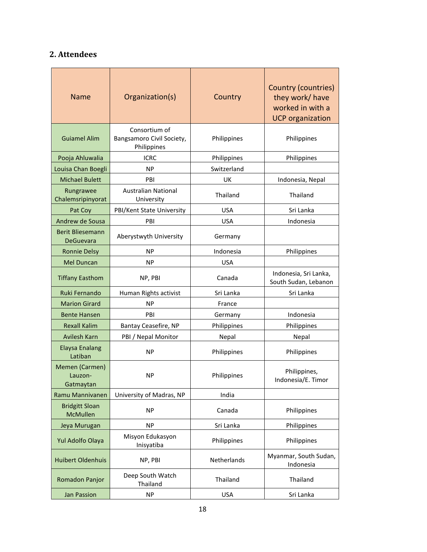## **2. Attendees**

| <b>Name</b>                              | Organization(s)                                           | Country     | <b>Country (countries)</b><br>they work/ have<br>worked in with a<br><b>UCP</b> organization |
|------------------------------------------|-----------------------------------------------------------|-------------|----------------------------------------------------------------------------------------------|
| <b>Guiamel Alim</b>                      | Consortium of<br>Bangsamoro Civil Society,<br>Philippines | Philippines | Philippines                                                                                  |
| Pooja Ahluwalia                          | <b>ICRC</b>                                               | Philippines | Philippines                                                                                  |
| Louisa Chan Boegli                       | <b>NP</b>                                                 | Switzerland |                                                                                              |
| <b>Michael Bulett</b>                    | PBI                                                       | UK          | Indonesia, Nepal                                                                             |
| Rungrawee<br>Chalemsripinyorat           | <b>Australian National</b><br>University                  | Thailand    | Thailand                                                                                     |
| Pat Coy                                  | PBI/Kent State University                                 | <b>USA</b>  | Sri Lanka                                                                                    |
| Andrew de Sousa                          | PBI                                                       | <b>USA</b>  | Indonesia                                                                                    |
| <b>Berit Bliesemann</b><br>DeGuevara     | Aberystwyth University                                    | Germany     |                                                                                              |
| <b>Ronnie Delsy</b>                      | <b>NP</b>                                                 | Indonesia   | Philippines                                                                                  |
| <b>Mel Duncan</b>                        | ΝP                                                        | USA         |                                                                                              |
| <b>Tiffany Easthom</b>                   | NP, PBI                                                   | Canada      | Indonesia, Sri Lanka,<br>South Sudan, Lebanon                                                |
| Ruki Fernando                            | Human Rights activist                                     | Sri Lanka   | Sri Lanka                                                                                    |
| <b>Marion Girard</b>                     | <b>NP</b>                                                 | France      |                                                                                              |
| <b>Bente Hansen</b>                      | PBI                                                       | Germany     | Indonesia                                                                                    |
| <b>Rexall Kalim</b>                      | Bantay Ceasefire, NP                                      | Philippines | Philippines                                                                                  |
| <b>Avilesh Karn</b>                      | PBI / Nepal Monitor                                       | Nepal       | Nepal                                                                                        |
| <b>Elaysa Enalang</b><br>Latiban         | <b>NP</b>                                                 | Philippines | Philippines                                                                                  |
| Memen (Carmen)<br>Lauzon-<br>Gatmaytan   | ΝP                                                        | Philippines | Philippines,<br>Indonesia/E. Timor                                                           |
| Ramu Mannivanen                          | University of Madras, NP                                  | India       |                                                                                              |
| <b>Bridgitt Sloan</b><br><b>McMullen</b> | <b>NP</b>                                                 | Canada      | Philippines                                                                                  |
| Jeya Murugan                             | <b>NP</b>                                                 | Sri Lanka   | Philippines                                                                                  |
| Yul Adolfo Olaya                         | Misyon Edukasyon<br>Inisyatiba                            | Philippines | Philippines                                                                                  |
| <b>Huibert Oldenhuis</b>                 | NP, PBI                                                   | Netherlands | Myanmar, South Sudan,<br>Indonesia                                                           |
| Romadon Panjor                           | Deep South Watch<br>Thailand                              | Thailand    | Thailand                                                                                     |
| <b>Jan Passion</b>                       | <b>NP</b>                                                 | <b>USA</b>  | Sri Lanka                                                                                    |